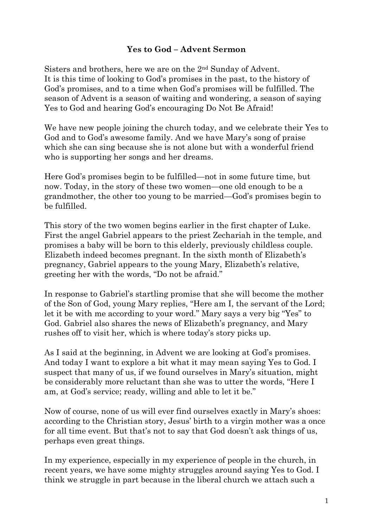## **Yes to God – Advent Sermon**

Sisters and brothers, here we are on the 2nd Sunday of Advent. It is this time of looking to God's promises in the past, to the history of God's promises, and to a time when God's promises will be fulfilled. The season of Advent is a season of waiting and wondering, a season of saying Yes to God and hearing God's encouraging Do Not Be Afraid!

We have new people joining the church today, and we celebrate their Yes to God and to God's awesome family. And we have Mary's song of praise which she can sing because she is not alone but with a wonderful friend who is supporting her songs and her dreams.

Here God's promises begin to be fulfilled—not in some future time, but now. Today, in the story of these two women—one old enough to be a grandmother, the other too young to be married—God's promises begin to be fulfilled.

This story of the two women begins earlier in the first chapter of Luke. First the angel Gabriel appears to the priest Zechariah in the temple, and promises a baby will be born to this elderly, previously childless couple. Elizabeth indeed becomes pregnant. In the sixth month of Elizabeth's pregnancy, Gabriel appears to the young Mary, Elizabeth's relative, greeting her with the words, "Do not be afraid."

In response to Gabriel's startling promise that she will become the mother of the Son of God, young Mary replies, "Here am I, the servant of the Lord; let it be with me according to your word." Mary says a very big "Yes" to God. Gabriel also shares the news of Elizabeth's pregnancy, and Mary rushes off to visit her, which is where today's story picks up.

As I said at the beginning, in Advent we are looking at God's promises. And today I want to explore a bit what it may mean saying Yes to God. I suspect that many of us, if we found ourselves in Mary's situation, might be considerably more reluctant than she was to utter the words, "Here I am, at God's service; ready, willing and able to let it be."

Now of course, none of us will ever find ourselves exactly in Mary's shoes: according to the Christian story, Jesus' birth to a virgin mother was a once for all time event. But that's not to say that God doesn't ask things of us, perhaps even great things.

In my experience, especially in my experience of people in the church, in recent years, we have some mighty struggles around saying Yes to God. I think we struggle in part because in the liberal church we attach such a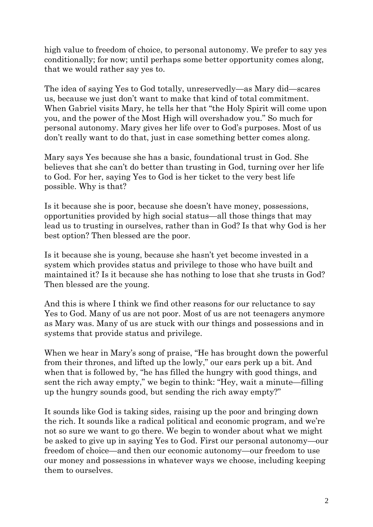high value to freedom of choice, to personal autonomy. We prefer to say yes conditionally; for now; until perhaps some better opportunity comes along, that we would rather say yes to.

The idea of saying Yes to God totally, unreservedly—as Mary did—scares us, because we just don't want to make that kind of total commitment. When Gabriel visits Mary, he tells her that "the Holy Spirit will come upon you, and the power of the Most High will overshadow you." So much for personal autonomy. Mary gives her life over to God's purposes. Most of us don't really want to do that, just in case something better comes along.

Mary says Yes because she has a basic, foundational trust in God. She believes that she can't do better than trusting in God, turning over her life to God. For her, saying Yes to God is her ticket to the very best life possible. Why is that?

Is it because she is poor, because she doesn't have money, possessions, opportunities provided by high social status—all those things that may lead us to trusting in ourselves, rather than in God? Is that why God is her best option? Then blessed are the poor.

Is it because she is young, because she hasn't yet become invested in a system which provides status and privilege to those who have built and maintained it? Is it because she has nothing to lose that she trusts in God? Then blessed are the young.

And this is where I think we find other reasons for our reluctance to say Yes to God. Many of us are not poor. Most of us are not teenagers anymore as Mary was. Many of us are stuck with our things and possessions and in systems that provide status and privilege.

When we hear in Mary's song of praise, "He has brought down the powerful from their thrones, and lifted up the lowly," our ears perk up a bit. And when that is followed by, "he has filled the hungry with good things, and sent the rich away empty," we begin to think: "Hey, wait a minute—filling up the hungry sounds good, but sending the rich away empty?"

It sounds like God is taking sides, raising up the poor and bringing down the rich. It sounds like a radical political and economic program, and we're not so sure we want to go there. We begin to wonder about what we might be asked to give up in saying Yes to God. First our personal autonomy—our freedom of choice—and then our economic autonomy—our freedom to use our money and possessions in whatever ways we choose, including keeping them to ourselves.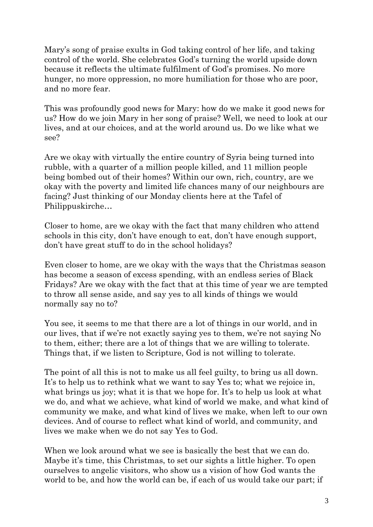Mary's song of praise exults in God taking control of her life, and taking control of the world. She celebrates God's turning the world upside down because it reflects the ultimate fulfilment of God's promises. No more hunger, no more oppression, no more humiliation for those who are poor, and no more fear.

This was profoundly good news for Mary: how do we make it good news for us? How do we join Mary in her song of praise? Well, we need to look at our lives, and at our choices, and at the world around us. Do we like what we see?

Are we okay with virtually the entire country of Syria being turned into rubble, with a quarter of a million people killed, and 11 million people being bombed out of their homes? Within our own, rich, country, are we okay with the poverty and limited life chances many of our neighbours are facing? Just thinking of our Monday clients here at the Tafel of Philippuskirche…

Closer to home, are we okay with the fact that many children who attend schools in this city, don't have enough to eat, don't have enough support, don't have great stuff to do in the school holidays?

Even closer to home, are we okay with the ways that the Christmas season has become a season of excess spending, with an endless series of Black Fridays? Are we okay with the fact that at this time of year we are tempted to throw all sense aside, and say yes to all kinds of things we would normally say no to?

You see, it seems to me that there are a lot of things in our world, and in our lives, that if we're not exactly saying yes to them, we're not saying No to them, either; there are a lot of things that we are willing to tolerate. Things that, if we listen to Scripture, God is not willing to tolerate.

The point of all this is not to make us all feel guilty, to bring us all down. It's to help us to rethink what we want to say Yes to; what we rejoice in, what brings us joy; what it is that we hope for. It's to help us look at what we do, and what we achieve, what kind of world we make, and what kind of community we make, and what kind of lives we make, when left to our own devices. And of course to reflect what kind of world, and community, and lives we make when we do not say Yes to God.

When we look around what we see is basically the best that we can do. Maybe it's time, this Christmas, to set our sights a little higher. To open ourselves to angelic visitors, who show us a vision of how God wants the world to be, and how the world can be, if each of us would take our part; if